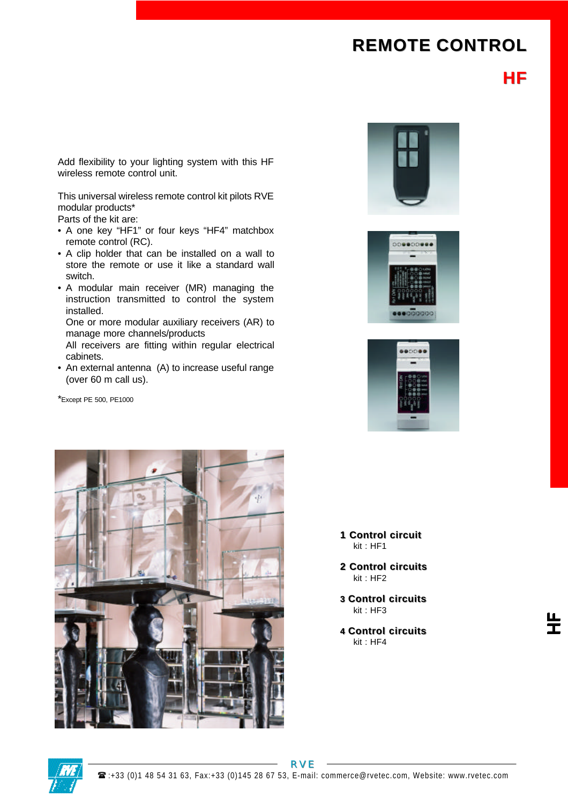## **REMOTE CONTROL**

**HF**

Add flexibility to your lighting system with this HF wireless remote control unit.

This universal wireless remote control kit pilots RVE modular products\*

Parts of the kit are:

- A one key "HF1" or four keys "HF4" matchbox remote control (RC).
- A clip holder that can be installed on a wall to store the remote or use it like a standard wall switch.
- A modular main receiver (MR) managing the instruction transmitted to control the system installed.

One or more modular auxiliary receivers (AR) to manage more channels/products

All receivers are fitting within regular electrical cabinets.

• An external antenna (A) to increase useful range (over 60 m call us).

\*Except PE 500, PE1000



00000000





- **1 Control circuit** kit : HF1
- **2 Control circuits** kit : HF2
- **3 Control circuits** kit : HF3
- **4 Control circuits** kit : HF4